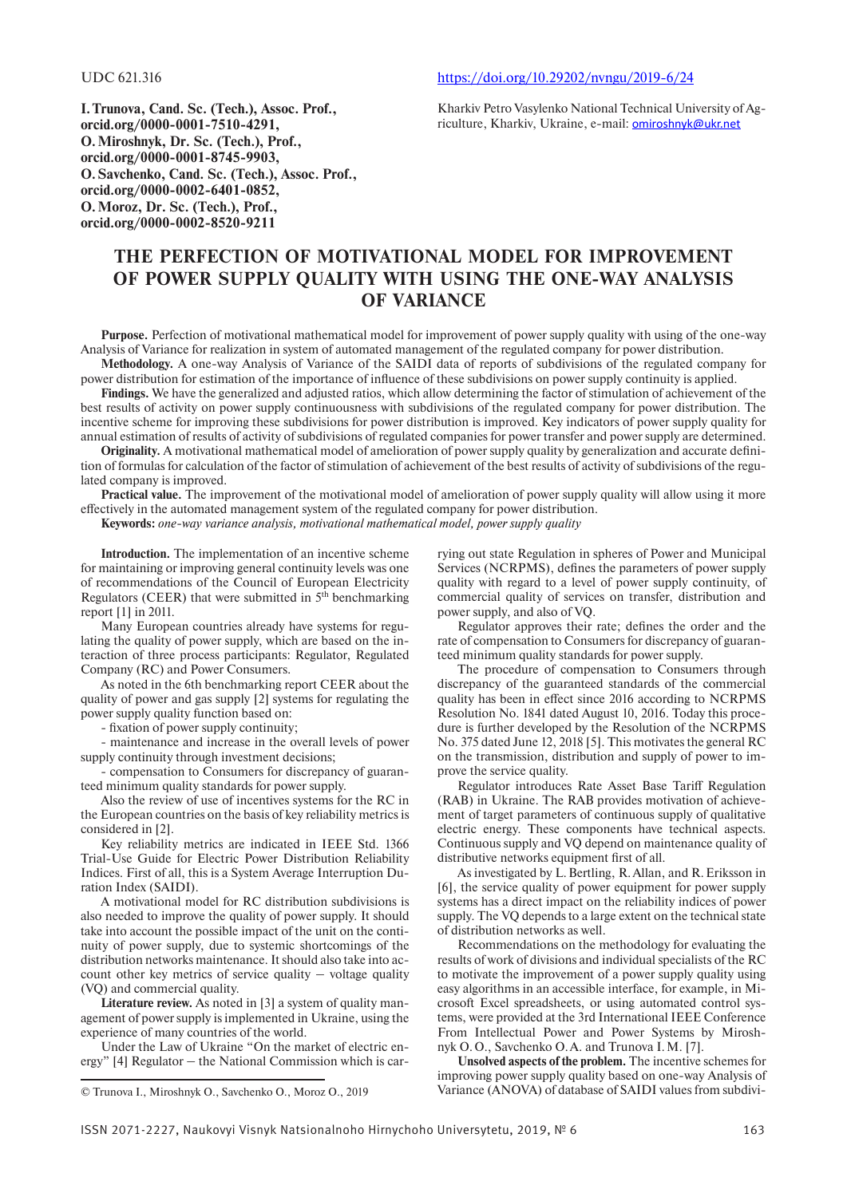UDC 621.316 [https://doi.org/10.29202/nvngu/2019-6/24](https://doi.org/10.29202/nvngu/2019-6/24 )

**I.Trunova, Cand. Sc. (Tech.), Assoc. Prof., orcid.org/0000-0001-7510-4291, O. Miroshnyk, Dr. Sc. (Tech.), Prof., orcid.org/0000-0001-8745-9903, O.Savchenko, Cand. Sc. (Tech.), Assoc. Prof.,**

**orcid.org/0000-0002-6401-0852, O. Moroz, Dr. Sc. (Tech.), Prof., orcid.org/0000-0002-8520-9211**

Kharkiv Petro Vasylenko National Technical University of Agriculture, Kharkiv, Ukraine, e-mail: [omiroshnyk@ukr.net](mailto:omiroshnyk@ukr.net)

# **The perfection of motivational model for improvement of power supply quality with using the one-way analysis of variance**

**Purpose.** Perfection of motivational mathematical model for improvement of power supply quality with using of the one-way Analysis of Variance for realization in system of automated management of the regulated company for power distribution.

**Methodology.** A one-way Analysis of Variance of the SAIDI data of reports of subdivisions of the regulated company for power distribution for estimation of the importance of influence of these subdivisions on power supply continuity is applied.

**Findings.** We have the generalized and adjusted ratios, which allow determining the factor of stimulation of achievement of the best results of activity on power supply continuousness with subdivisions of the regulated company for power distribution. The incentive scheme for improving these subdivisions for power distribution is improved. Key indicators of power supply quality for annual estimation of results of activity of subdivisions of regulated companies for power transfer and power supply are determined.

**Originality.** A motivational mathematical model of amelioration of power supply quality by generalization and accurate definition of formulas for calculation of the factor of stimulation of achievement of the best results of activity of subdivisions of the regulated company is improved.

**Practical value.** The improvement of the motivational model of amelioration of power supply quality will allow using it more effectively in the automated management system of the regulated company for power distribution.

**Keywords:** *one-way variance analysis, motivational mathematical model, power supply quality*

**Introduction.** The implementation of an incentive scheme for maintaining or improving general continuity levels was one of recommendations of the Council of European Electricity Regulators (CEER) that were submitted in  $5<sup>th</sup>$  benchmarking report [1] in 2011.

Many European countries already have systems for regulating the quality of power supply, which are based on the interaction of three process participants: Regulator, Regulated Company (RC) and Power Consumers.

As noted in the 6th benchmarking report CEER about the quality of power and gas supply [2] systems for regulating the power supply quality function based on:

- fixation of power supply continuity;

- maintenance and increase in the overall levels of power supply continuity through investment decisions;

- compensation to Consumers for discrepancy of guaranteed minimum quality standards for power supply.

Also the review of use of incentives systems for the RC in the European countries on the basis of key reliability metrics is considered in [2].

Key reliability metrics are indicated in IEEE Std. 1366 Trial-Use Guide for Electric Power Distribution Reliability Indices. First of all, this is a System Average Interruption Duration Index (SAIDI).

A motivational model for RC distribution subdivisions is also needed to improve the quality of power supply. It should take into account the possible impact of the unit on the continuity of power supply, due to systemic shortcomings of the distribution networks maintenance. It should also take into account other key metrics of service quality  $-$  voltage quality (VQ) and commercial quality.

**Literature review.** As noted in [3] a system of quality management of power supply is implemented in Ukraine, using the experience of many countries of the world.

Under the Law of Ukraine "On the market of electric energy"  $[4]$  Regulator  $-$  the National Commission which is car-

rying out state Regulation in spheres of Power and Municipal Services (NCRPMS), defines the parameters of power supply quality with regard to a level of power supply continuity, of commercial quality of services on transfer, distribution and power supply, and also of VQ.

Regulator approves their rate; defines the order and the rate of compensation to Consumers for discrepancy of guaranteed minimum quality standards for power supply.

The procedure of compensation to Consumers through discrepancy of the guaranteed standards of the commercial quality has been in effect since 2016 according to NCRPMS Resolution No. 1841 dated August 10, 2016. Today this procedure is further developed by the Resolution of the NCRPMS No. 375 dated June 12, 2018 [5]. This motivates the general RC on the transmission, distribution and supply of power to improve the service quality.

Regulator introduces Rate Asset Base Tariff Regulation (RAB) in Ukraine. The RAB provides motivation of achievement of target parameters of continuous supply of qualitative electric energy. These components have technical aspects. Continuous supply and VQ depend on maintenance quality of distributive networks equipment first of all.

As investigated by L. Bertling, R. Allan, and R. Eriksson in [6], the service quality of power equipment for power supply systems has a direct impact on the reliability indices of power supply. The VQ depends to a large extent on the technical state of distribution networks as well.

Recommendations on the methodology for evaluating the results of work of divisions and individual specialists of the RC to motivate the improvement of a power supply quality using easy algorithms in an accessible interface, for example, in Microsoft Excel spreadsheets, or using automated control systems, were provided at the 3rd International IEEE Conference From Intellectual Power and Power Systems by Miroshnyk O.O., Savchenko O.A. and Trunova I.M. [7].

**Unsolved aspects of the problem.** The incentive schemes for improving power supply quality based on one-way Analysis of Variance (ANOVA) of database of SAIDI values from subdivi

<sup>©</sup> Trunova I., Miroshnyk O., Savchenko O., Moroz O., 2019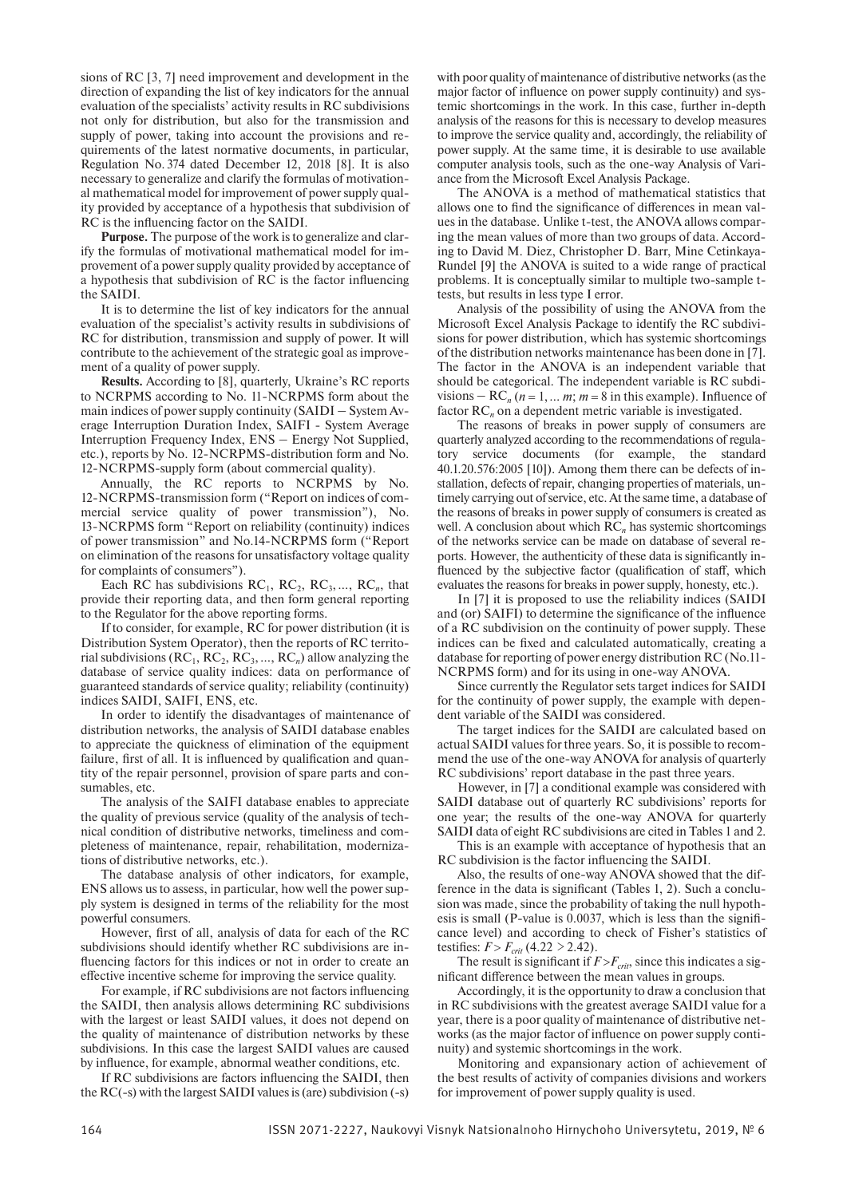sions of RC [3, 7] need improvement and development in the direction of expanding the list of key indicators for the annual evaluation of the specialists' activity results in RC subdivisions not only for distribution, but also for the transmission and supply of power, taking into account the provisions and requirements of the latest normative documents, in particular, Regulation No. 374 dated December 12, 2018 [8]. It is also necessary to generalize and clarify the formulas of motivational mathematical model for improvement of power supply quality provided by acceptance of a hypothesis that subdivision of RC is the influencing factor on the SAIDI.

**Purpose.** The purpose of the work is to generalize and clarify the formulas of motivational mathematical model for improvement of a power supply quality provided by acceptance of a hypothesis that subdivision of RC is the factor influencing the SAIDI.

It is to determine the list of key indicators for the annual evaluation of the specialist's activity results in subdivisions of RC for distribution, transmission and supply of power. It will contribute to the achievement of the strategic goal as improvement of a quality of power supply.

**Results.** According to [8], quarterly, Ukraine's RC reports to NCRPMS according to No. 11-NCRPMS form about the main indices of power supply continuity (SAIDI – System Average Interruption Duration Index, SAIFI - System Average Interruption Frequency Index, ENS - Energy Not Supplied, etc.), reports by No. 12-NCRPMS-distribution form and No. 12-NCRPMS-supply form (about commercial quality).

Annually, the RC reports to NCRPMS by No. 12-NCRPMS-transmission form ("Report on indices of commercial service quality of power transmission"), No. 13-NCRPMS form "Report on reliability (continuity) indices of power transmission" and No.14-NCRPMS form ("Report on elimination of the reasons for unsatisfactory voltage quality for complaints of consumers").

Each RC has subdivisions  $RC_1$ ,  $RC_2$ ,  $RC_3$ , ...,  $RC_n$ , that provide their reporting data, and then form general reporting to the Regulator for the above reporting forms.

If to consider, for example, RC for power distribution (it is Distribution System Operator), then the reports of RC territorial subdivisions  $(RC_1, RC_2, RC_3, ..., RC_n)$  allow analyzing the database of service quality indices: data on performance of guaranteed standards of service quality; reliability (continuity) indices SAIDI, SAIFI, ENS, etc.

In order to identify the disadvantages of maintenance of distribution networks, the analysis of SAIDI database enables to appreciate the quickness of elimination of the equipment failure, first of all. It is influenced by qualification and quantity of the repair personnel, provision of spare parts and consumables, etc.

The analysis of the SAIFI database enables to appreciate the quality of previous service (quality of the analysis of technical condition of distributive networks, timeliness and completeness of maintenance, repair, rehabilitation, modernizations of distributive networks, etc.).

The database analysis of other indicators, for example, ENS allows us to assess, in particular, how well the power supply system is designed in terms of the reliability for the most powerful consumers.

However, first of all, analysis of data for each of the RC subdivisions should identify whether RC subdivisions are influencing factors for this indices or not in order to create an effective incentive scheme for improving the service quality.

For example, if RC subdivisions are not factors influencing the SAIDI, then analysis allows determining RC subdivisions with the largest or least SAIDI values, it does not depend on the quality of maintenance of distribution networks by these subdivisions. In this case the largest SAIDI values are caused by influence, for example, abnormal weather conditions, etc.

If RC subdivisions are factors influencing the SAIDI, then the RC(-s) with the largest SAIDI values is (are) subdivision (-s) with poor quality of maintenance of distributive networks (as the major factor of influence on power supply continuity) and systemic shortcomings in the work. In this case, further in-depth analysis of the reasons for this is necessary to develop measures to improve the service quality and, accordingly, the reliability of power supply. At the same time, it is desirable to use available computer analysis tools, such as the one-way Analysis of Variance from the Microsoft Excel Analysis Package.

The ANOVA is a method of mathematical statistics that allows one to find the significance of differences in mean values in the database. Unlike t-test, the ANOVA allows comparing the mean values of more than two groups of data. According to David M. Diez, Christopher D. Barr, Mine Cetinkaya-Rundel [9] the ANOVA is suited to a wide range of practical problems. It is conceptually similar to multiple two-sample ttests, but results in less type I error.

Analysis of the possibility of using the ANOVA from the Microsoft Excel Analysis Package to identify the RC subdivisions for power distribution, which has systemic shortcomings of the distribution networks maintenance has been done in [7]. The factor in the ANOVA is an independent variable that should be categorical. The independent variable is RC subdivisions  $-RC_n$  ( $n = 1, \ldots m$ ;  $m = 8$  in this example). Influence of factor  $RC<sub>n</sub>$  on a dependent metric variable is investigated.

The reasons of breaks in power supply of consumers are quarterly analyzed according to the recommendations of regulatory service documents (for example, the standard 40.1.20.576:2005 [10]). Among them there can be defects of installation, defects of repair, changing properties of materials, untimely carrying out of service, etc. At the same time, a database of the reasons of breaks in power supply of consumers is created as well. A conclusion about which RC<sub>n</sub> has systemic shortcomings of the networks service can be made on database of several reports. However, the authenticity of these data is significantly influenced by the subjective factor (qualification of staff, which evaluates the reasons for breaks in power supply, honesty, etc.).

In [7] it is proposed to use the reliability indices (SAIDI and (or) SAIFI) to determine the significance of the influence of a RC subdivision on the continuity of power supply. These indices can be fixed and calculated automatically, creating a database for reporting of power energy distribution RC (No.11-NCRPMS form) and for its using in one-way ANOVA.

Since currently the Regulator sets target indices for SAIDI for the continuity of power supply, the example with dependent variable of the SAIDI was considered.

The target indices for the SAIDI are calculated based on actual SAIDI values for three years. So, it is possible to recommend the use of the one-way ANOVA for analysis of quarterly RC subdivisions' report database in the past three years.

However, in [7] a conditional example was considered with SAIDI database out of quarterly RC subdivisions' reports for one year; the results of the one-way ANOVA for quarterly SAIDI data of eight RC subdivisions are cited in Tables 1 and 2.

This is an example with acceptance of hypothesis that an RC subdivision is the factor influencing the SAIDI.

Also, the results of one-way ANOVA showed that the difference in the data is significant (Tables 1, 2). Such a conclusion was made, since the probability of taking the null hypothesis is small (P-value is 0.0037, which is less than the significance level) and according to check of Fisher's statistics of testifies:  $F > F_{crit}$  (4.22  $>$  2.42).

The result is significant if  $F > F_{crit}$ , since this indicates a significant difference between the mean values in groups.

Accordingly, it is the opportunity to draw a conclusion that in RC subdivisions with the greatest average SAIDI value for a year, there is a poor quality of maintenance of distributive networks (as the major factor of influence on power supply continuity) and systemic shortcomings in the work.

Monitoring and expansionary action of achievement of the best results of activity of companies divisions and workers for improvement of power supply quality is used.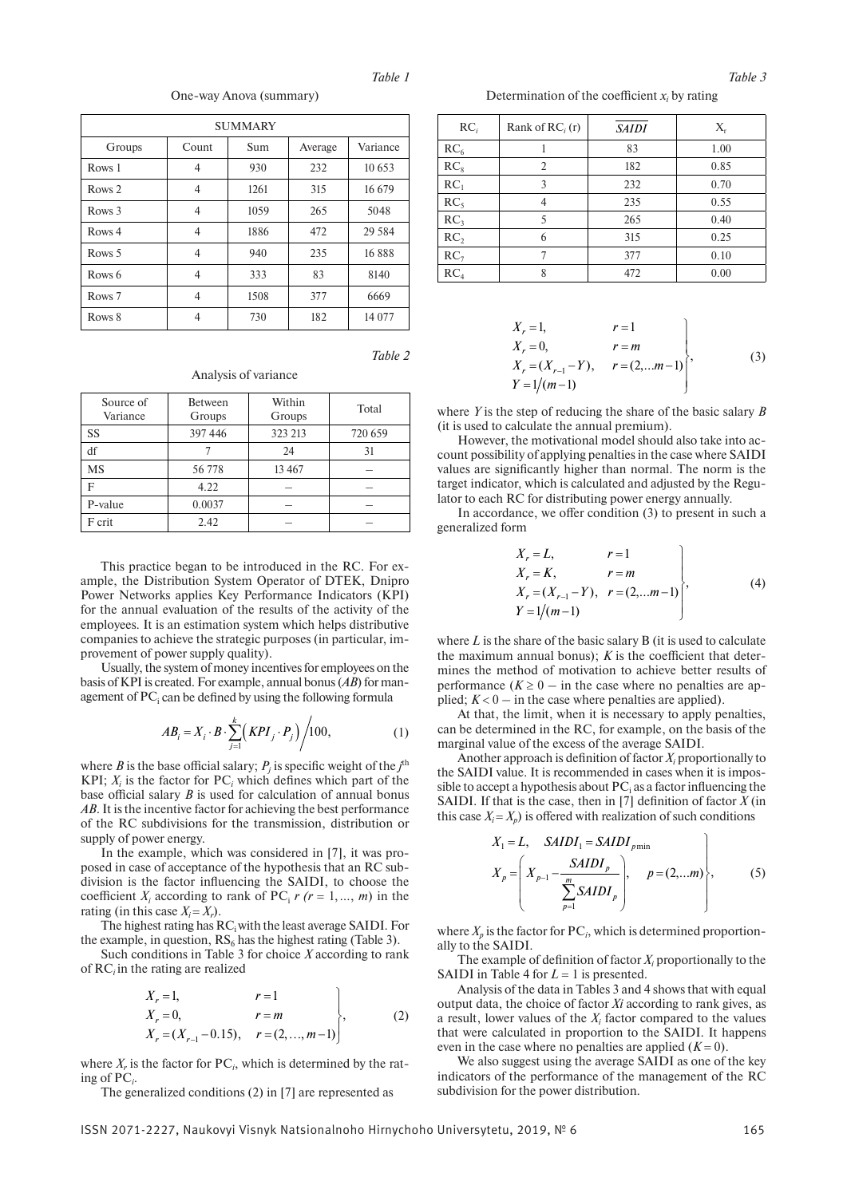One-way Anova (summary)

| <b>SUMMARY</b>    |                |      |         |          |  |
|-------------------|----------------|------|---------|----------|--|
| Groups            | Count          | Sum  | Average | Variance |  |
| Rows 1            | 4              | 930  | 232     | 10 653   |  |
| Rows <sub>2</sub> | 4              | 1261 | 315     | 16 679   |  |
| Rows <sub>3</sub> | 4              | 1059 | 265     | 5048     |  |
| Rows 4            | 4              | 1886 | 472     | 29 5 84  |  |
| Rows <sub>5</sub> | $\overline{4}$ | 940  | 235     | 16888    |  |
| Rows 6            | 4              | 333  | 83      | 8140     |  |
| Rows <sub>7</sub> | 4              | 1508 | 377     | 6669     |  |
| Rows 8            | 4              | 730  | 182     | 14 077   |  |

*Table 2*

Analysis of variance

| Source of<br>Variance | <b>Between</b><br>Groups | Within<br>Groups | Total   |  |
|-----------------------|--------------------------|------------------|---------|--|
| SS                    | 397 446                  | 323 213          | 720 659 |  |
| df                    |                          | 24               | 31      |  |
| MS                    | 56778                    | 13 4 67          |         |  |
| F                     | 4.22                     |                  |         |  |
| P-value               | 0.0037                   |                  |         |  |
| F crit                | 2.42                     |                  |         |  |

This practice began to be introduced in the RC. For example, the Distribution System Operator of DTEK, Dnipro Power Networks applies Key Performance Indicators (KPI) for the annual evaluation of the results of the activity of the employees. It is an estimation system which helps distributive companies to achieve the strategic purposes (in particular, improvement of power supply quality).

Usually, the system of money incentives for employees on the basis of KPI is created. For example, annual bonus (*АВ*) for management of  $PC<sub>i</sub>$  can be defined by using the following formula

$$
AB_i = X_i \cdot B \cdot \sum_{j=1}^k (KPI_j \cdot P_j) / 100,
$$
 (1)

where  $B$  is the base official salary;  $P_j$  is specific weight of the  $j^{\text{th}}$ KPI;  $X_i$  is the factor for  $PC_i$  which defines which part of the base official salary *B* is used for calculation of annual bonus *АВ*. It is the incentive factor for achieving the best performance of the RC subdivisions for the transmission, distribution or supply of power energy.

In the example, which was considered in [7], it was proposed in case of acceptance of the hypothesis that an RC subdivision is the factor influencing the SAIDI, to choose the coefficient  $X_i$  according to rank of PC<sub>i</sub>  $r$  ( $r = 1, ..., m$ ) in the rating (in this case  $X_i = X_i$ ).

The highest rating has RC<sub>i</sub> with the least average SAIDI. For the example, in question,  $RS_6$  has the highest rating (Table 3).

Such conditions in Table 3 for choice *X* according to rank of RC*<sup>і</sup>* in the rating are realized

$$
X_r = 1, \t r = 1 \nX_r = 0, \t r = m \nX_r = (X_{r-1} - 0.15), \t r = (2, ..., m-1)
$$
\n(2)

where  $X_r$  is the factor for  $PC_i$ , which is determined by the rating of PC*<sup>i</sup>* .

The generalized conditions (2) in [7] are represented as

Determination of the coefficient  $x_i$  by rating

| $RC_i$          | Rank of $RCi$ (r) | <b>SAIDI</b> | $X_{r}$ |
|-----------------|-------------------|--------------|---------|
| RC <sub>6</sub> |                   | 83           | 1.00    |
| RC <sub>8</sub> | 2                 | 182          | 0.85    |
| RC <sub>1</sub> | 3                 | 232          | 0.70    |
| RC <sub>5</sub> | 4                 | 235          | 0.55    |
| RC <sub>3</sub> | 5                 | 265          | 0.40    |
| RC <sub>2</sub> | 6                 | 315          | 0.25    |
| RC <sub>7</sub> | 7                 | 377          | 0.10    |
| RC <sub>4</sub> | 8                 | 472          | 0.00    |

$$
X_r = 1, \t r = 1\nX_r = 0, \t r = m\nX_r = (X_{r-1} - Y), \t r = (2,...m-1) \t\t(3)\nY = 1/(m-1)
$$

where *Y* is the step of reducing the share of the basic salary *B* (it is used to calculate the annual premium).

However, the motivational model should also take into account possibility of applying penalties in the case where SAIDI values are significantly higher than normal. The norm is the target indicator, which is calculated and adjusted by the Regulator to each RC for distributing power energy annually.

In accordance, we offer condition (3) to present in such a generalized form

$$
X_r = L, \t r = 1\nX_r = K, \t r = m\nX_r = (X_{r-1} - Y), \t r = (2,...m-1)
$$
\n
$$
Y = 1/(m-1)
$$
\n(4)

where *L* is the share of the basic salary B (it is used to calculate the maximum annual bonus); *К* is the coefficient that determines the method of motivation to achieve better results of performance  $(K \ge 0 - \text{in the case where no penalties are an$ plied;  $K < 0$  – in the case where penalties are applied).

At that, the limit, when it is necessary to apply penalties, can be determined in the RC, for example, on the basis of the marginal value of the excess of the average SAIDI.

Another approach is definition of factor  $X_i$  proportionally to the SAIDI value. It is recommended in cases when it is impossible to accept a hypothesis about  $PC_i$  as a factor influencing the SAIDI. If that is the case, then in [7] definition of factor  $X$  (in this case  $X_i = X_p$ ) is offered with realization of such conditions

$$
X_1 = L, \quad SAIDI_1 = SAIDI_{p\min}
$$
  
\n
$$
X_p = \left(X_{p-1} - \frac{SAIDI_p}{\sum_{p=1}^m SAIDI_p}\right), \quad p = (2,...m)\right\},
$$
 (5)

where  $X_p$  is the factor for  $PC_i$ , which is determined proportionally to the SAIDI.

The example of definition of factor  $X_i$  proportionally to the SAIDI in Table 4 for  $L = 1$  is presented.

Analysis of the data in Tables 3 and 4 shows that with equal output data, the choice of factor *Xi* according to rank gives, as a result, lower values of the  $X_i$  factor compared to the values that were calculated in proportion to the SAIDI. It happens even in the case where no penalties are applied  $(K = 0)$ .

We also suggest using the average SAIDI as one of the key indicators of the performance of the management of the RC subdivision for the power distribution.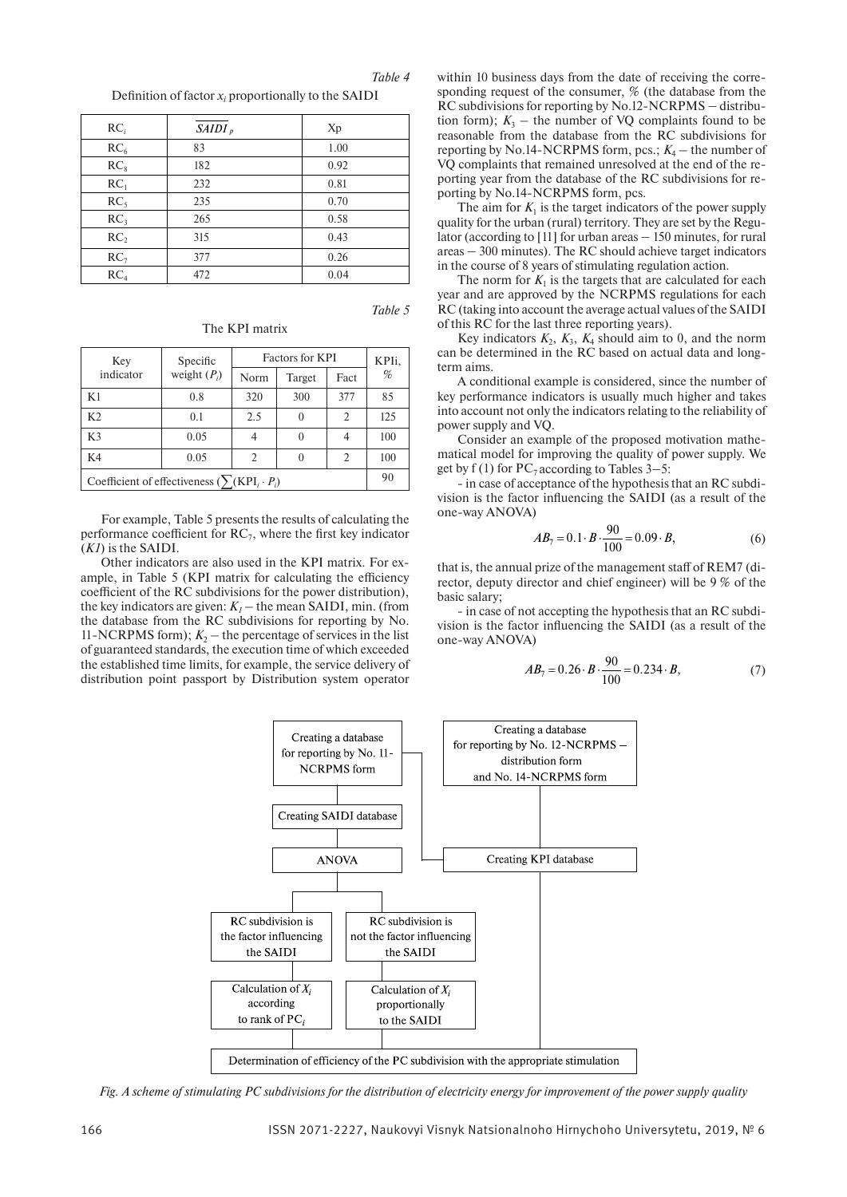*Table 4*

Definition of factor  $x_i$  proportionally to the SAIDI

| $RC_i$          | $SAIDI_p$ | Xp   |
|-----------------|-----------|------|
| RC <sub>6</sub> | 83        | 1.00 |
| RC <sub>8</sub> | 182       | 0.92 |
| RC <sub>1</sub> | 232       | 0.81 |
| RC <sub>5</sub> | 235       | 0.70 |
| RC <sub>3</sub> | 265       | 0.58 |
| RC <sub>2</sub> | 315       | 0.43 |
| RC <sub>7</sub> | 377       | 0.26 |
| RC <sub>4</sub> | 472       | 0.04 |

*Table 5*

| Key                                                     | Specific       | <b>Factors for KPI</b> |          |               | KPIi, |
|---------------------------------------------------------|----------------|------------------------|----------|---------------|-------|
| indicator                                               | weight $(P_i)$ | Norm                   | Target   | Fact          | %     |
| K1                                                      | 0.8            | 320                    | 300      | 377           | 85    |
| K2                                                      | 0.1            | 2.5                    | $\Omega$ | $\mathcal{L}$ | 125   |
| K <sub>3</sub>                                          | 0.05           |                        | 0        |               | 100   |
| K4                                                      | 0.05           | 2                      | 0        | 2             | 100   |
| Coefficient of effectiveness ( $\sum (KPI_i \cdot P_i)$ |                |                        |          | 90            |       |

For example, Table 5 presents the results of calculating the performance coefficient for  $RC<sub>7</sub>$ , where the first key indicator (*K1*) is the SAIDI.

Other indicators are also used in the KPI matrix. For example, in Table 5 (KPI matrix for calculating the efficiency coefficient of the RC subdivisions for the power distribution), the key indicators are given:  $K_1$  – the mean SAIDI, min. (from the database from the RC subdivisions for reporting by No. 11-NCRPMS form);  $K_2$  – the percentage of services in the list of guaranteed standards, the execution time of which exceeded the established time limits, for example, the service delivery of distribution point passport by Distribution system operator

within 10 business days from the date of receiving the corresponding request of the consumer, % (the database from the RC subdivisions for reporting by No.12-NCRPMS – distribution form);  $K_3$  – the number of VQ complaints found to be reasonable from the database from the RC subdivisions for reporting by No.14-NCRPMS form, pcs.;  $K_4$  – the number of VQ complaints that remained unresolved at the end of the reporting year from the database of the RC subdivisions for reporting by No.14-NCRPMS form, pcs.

The aim for  $K_1$  is the target indicators of the power supply quality for the urban (rural) territory. They are set by the Regulator (according to  $[11]$  for urban areas  $-150$  minutes, for rural  $area = 300$  minutes). The RC should achieve target indicators in the course of 8 years of stimulating regulation action.

The norm for  $K_1$  is the targets that are calculated for each year and are approved by the NCRPMS regulations for each RC (taking into account the average actual values of the SAIDI of this RC for the last three reporting years).

Key indicators  $K_2$ ,  $K_3$ ,  $K_4$  should aim to 0, and the norm can be determined in the RC based on actual data and longterm aims.

A conditional example is considered, since the number of key performance indicators is usually much higher and takes into account not only the indicators relating to the reliability of power supply and VQ.

Consider an example of the proposed motivation mathematical model for improving the quality of power supply. We get by f (1) for  $PC_7$  according to Tables 3–5:

- in case of acceptance of the hypothesis that an RC subdivision is the factor influencing the SAIDI (as a result of the one-way ANOVA)

$$
AB_7 = 0.1 \cdot B \cdot \frac{90}{100} = 0.09 \cdot B,\tag{6}
$$

that is, the annual prize of the management staff of REM7 (director, deputy director and chief engineer) will be 9 % of the basic salary;

- in case of not accepting the hypothesis that an RC subdivision is the factor influencing the SAIDI (as a result of the one-way ANOVA)

$$
AB_7 = 0.26 \cdot B \cdot \frac{90}{100} = 0.234 \cdot B,\tag{7}
$$



*Fig. A scheme of stimulating PC subdivisions for the distribution of electricity energy for improvement of the power supply quality*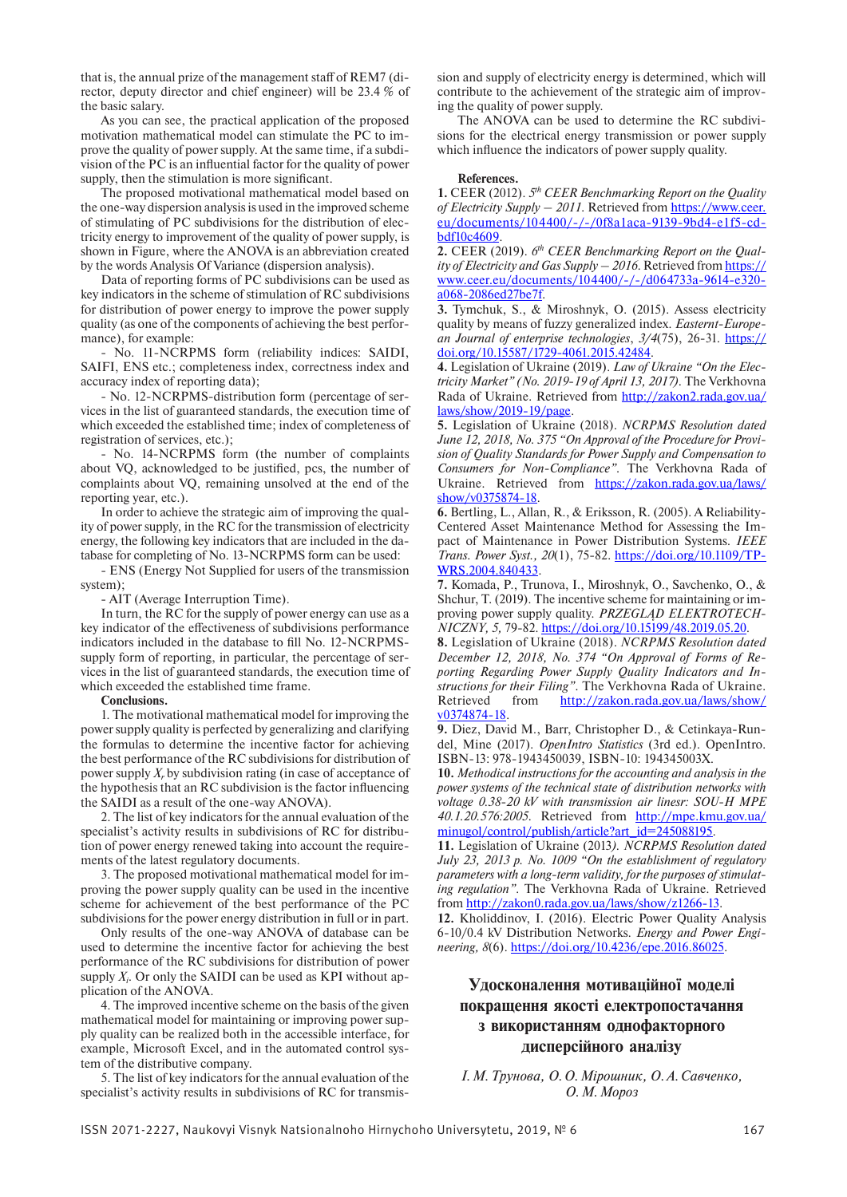that is, the annual prize of the management staff of REM7 (director, deputy director and chief engineer) will be 23.4 % of the basic salary.

As you can see, the practical application of the proposed motivation mathematical model can stimulate the РС to improve the quality of power supply. At the same time, if a subdivision of the PC is an influential factor for the quality of power supply, then the stimulation is more significant.

The proposed motivational mathematical model based on the one-way dispersion analysis is used in the improved scheme of stimulating of PC subdivisions for the distribution of electricity energy to improvement of the quality of power supply, is shown in Figure, where the ANOVA is an abbreviation created by the words Analysis Of Variance (dispersion analysis).

Data of reporting forms of PC subdivisions can be used as key indicators in the scheme of stimulation of RC subdivisions for distribution of power energy to improve the power supply quality (as one of the components of achieving the best performance), for example:

- No. 11-NCRPMS form (reliability indices: SAIDI, SAIFI, ENS etc.; completeness index, correctness index and accuracy index of reporting data);

- No. 12-NCRPMS-distribution form (percentage of services in the list of guaranteed standards, the execution time of which exceeded the established time; index of completeness of registration of services, etc.);

- No. 14-NCRPMS form (the number of complaints about VQ, acknowledged to be justified, pcs, the number of complaints about VQ, remaining unsolved at the end of the reporting year, etc.).

In order to achieve the strategic aim of improving the quality of power supply, in the RC for the transmission of electricity energy, the following key indicators that are included in the database for completing of No. 13-NCRPMS form can be used:

- ENS (Energy Not Supplied for users of the transmission system);

- AIT (Average Interruption Time).

In turn, the RC for the supply of power energy can use as a key indicator of the effectiveness of subdivisions performance indicators included in the database to fill No. 12-NCRPMSsupply form of reporting, in particular, the percentage of services in the list of guaranteed standards, the execution time of which exceeded the established time frame.

#### **Conclusions.**

1. The motivational mathematical model for improving the power supply quality is perfected by generalizing and clarifying the formulas to determine the incentive factor for achieving the best performance of the RC subdivisions for distribution of power supply *X*, by subdivision rating (in case of acceptance of the hypothesis that an RC subdivision is the factor influencing the SAIDI as a result of the one-way ANOVA).

2. The list of key indicators for the annual evaluation of the specialist's activity results in subdivisions of RC for distribution of power energy renewed taking into account the requirements of the latest regulatory documents.

3. The proposed motivational mathematical model for improving the power supply quality can be used in the incentive scheme for achievement of the best performance of the PC subdivisions for the power energy distribution in full or in part.

Only results of the one-way ANOVA of database can be used to determine the incentive factor for achieving the best performance of the RC subdivisions for distribution of power supply  $X_i$ . Or only the SAIDI can be used as KPI without application of the ANOVA.

4. The improved incentive scheme on the basis of the given mathematical model for maintaining or improving power supply quality can be realized both in the accessible interface, for example, Microsoft Excel, and in the automated control system of the distributive company.

5. The list of key indicators for the annual evaluation of the specialist's activity results in subdivisions of RC for transmission and supply of electricity energy is determined, which will contribute to the achievement of the strategic aim of improving the quality of power supply.

The ANOVA can be used to determine the RC subdivisions for the electrical energy transmission or power supply which influence the indicators of power supply quality.

### **References.**

**1.** CEER (2012). *5th CEER Benchmarking Report on the Quality of Electricity Supply – 2011*. Retrieved from [https://www.ceer.](https://www.ceer.eu/documents/104400/-/-/0f8a1aca-9139-9bd4-e1f5-cdbdf10c4609) [eu/documents/104400/-/-/0f8a1aca-9139-9bd4-e1f5-cd](https://www.ceer.eu/documents/104400/-/-/0f8a1aca-9139-9bd4-e1f5-cdbdf10c4609)[bdf10c4609](https://www.ceer.eu/documents/104400/-/-/0f8a1aca-9139-9bd4-e1f5-cdbdf10c4609).

**2.** CEER (2019). *6th CEER Benchmarking Report on the Quality of Electricity and Gas Supply – 2016*. Retrieved from [https://](https://www.ceer.eu/documents/104400/-/-/d064733a-9614-e320-a068-2086ed27be7f) [www.ceer.eu/documents/104400/-/-/d064733a-9614-e320](https://www.ceer.eu/documents/104400/-/-/d064733a-9614-e320-a068-2086ed27be7f)[a068-2086ed27be7f](https://www.ceer.eu/documents/104400/-/-/d064733a-9614-e320-a068-2086ed27be7f).

**3.** Tymchuk, S., & Miroshnyk, O. (2015). Assess electricity quality by means of fuzzy generalized index. *Easternt-European Journal of enterprise technologies*, *3/4*(75), 26-31. [https://](https://doi.org/10.15587/1729-4061.2015.42484) [doi.org/10.15587/1729-4061.2015.42484](https://doi.org/10.15587/1729-4061.2015.42484).

**4.** Legislation of Ukraine (2019). *Law of Ukraine "On the Electricity Market" (No. 2019-19 of April 13, 2017).* The Verkhovna Rada of Ukraine. Retrieved from [http://zakon2.rada.gov.ua/](http://zakon2.rada.gov.ua/laws/show/2019-19/page) [laws/show/2019-19/page](http://zakon2.rada.gov.ua/laws/show/2019-19/page).

**5.** Legislation of Ukraine (2018). *NCRPMS Resolution dated June 12, 2018, No. 375 "On Approval of the Procedure for Provision of Quality Standards for Power Supply and Compensation to Consumers for Non-Compliance".* The Verkhovna Rada of Ukraine. Retrieved from [https://zakon.rada.gov.ua/laws/](https://zakon.rada.gov.ua/laws/show/v0375874-18) [show/v0375874-18](https://zakon.rada.gov.ua/laws/show/v0375874-18).

**6.** Bertling, L., Allan, R., & Eriksson, R. (2005). A Reliability-Centered Asset Maintenance Method for Assessing the Impact of Maintenance in Power Distribution Systems. *IEEE Trans. Power Syst., 20*(1), 75-82. [https://doi.org/10.1109/TP-](https://doi.org/10.1109/TPWRS.2004.840433)[WRS.2004.840433](https://doi.org/10.1109/TPWRS.2004.840433).

**7.** Komada, P., Trunova, I., Miroshnyk, O., Savchenko, O., & Shchur, T. (2019). The incentive scheme for maintaining or improving power supply quality. *PRZEGLĄD ELEKTROTECH-NICZNY, 5,* 79-82. [https://doi.org/10.15199/48.2019.05.20.](https://doi.org/10.15199/48.2019.05.20)

**8.** Legislation of Ukraine (2018). *NCRPMS Resolution dated December 12, 2018, No. 374 "On Approval of Forms of Reporting Regarding Power Supply Quality Indicators and Instructions for their Filing"*. The Verkhovna Rada of Ukraine. Retrieved from [http://zakon.rada.gov.ua/laws/show/](http://zakon.rada.gov.ua/laws/show/v0374874-18) [v0374874-18.](http://zakon.rada.gov.ua/laws/show/v0374874-18)

**9.** Diez, David M., Barr, Christopher D., & Cetinkaya-Rundel, Mine (2017). *OpenIntro Statistics* (3rd ed.). OpenIntro. ISBN-13: 978-1943450039, ISBN-10: 194345003X.

**10.** *Methodical instructions for the accounting and analysis in the power systems of the technical state of distribution networks with voltage 0.38-20 kV with transmission air linesr: SOU-H MPE 40.1.20.576:2005*. Retrieved from [http://mpe.kmu.gov.ua/](http://mpe.kmu.gov.ua/minugol/control/publish/article?art_id=245088195) [minugol/control/publish/article?art\\_id=245088195.](http://mpe.kmu.gov.ua/minugol/control/publish/article?art_id=245088195)

**11.** Legislation of Ukraine (2013*). NCRPMS Resolution dated July 23, 2013 р. No. 1009 "On the establishment of regulatory parameters with a long-term validity, for the purposes of stimulating regulation"*. The Verkhovna Rada of Ukraine. Retrieved from [http://zakon0.rada.gov.ua/laws/show/z1266-13.](http://zakon0.rada.gov.ua/laws/show/z1266-13)

**12.** Kholiddinov, I. (2016). Electric Power Quality Analysis 6-10/0.4 kV Distribution Networks. *Energy and Power Engineering, 8*(6).<https://doi.org/10.4236/epe.2016.86025>.

### **Удосконалення мотиваційної моделі покращення якості електропостачання з використанням однофакторного дисперсійного аналізу**

*І.М.Трунова, О.О.Мірошник, О.А.Савченко, О.М. Мороз*